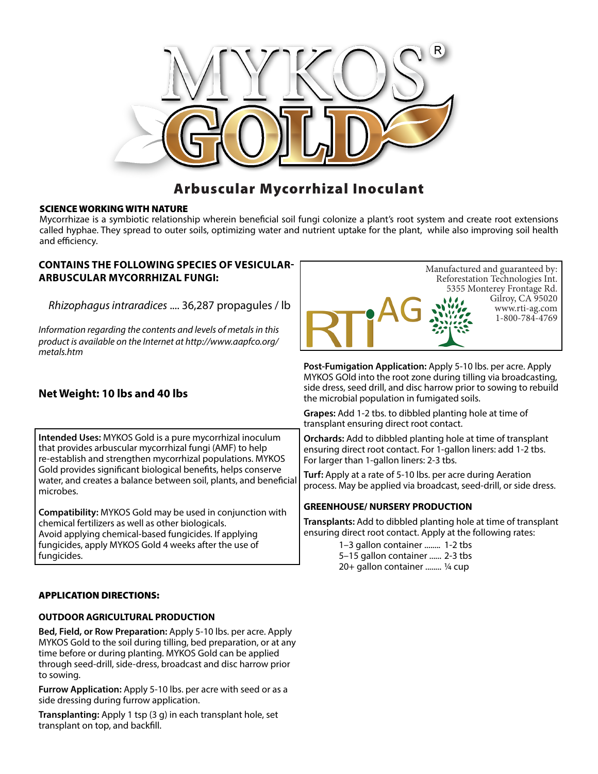

## Arbuscular Mycorrhizal Inoculant

### SCIENCE WORKING WITH NATURE

Mycorrhizae is a symbiotic relationship wherein beneficial soil fungi colonize a plant's root system and create root extensions called hyphae. They spread to outer soils, optimizing water and nutrient uptake for the plant, while also improving soil health and efficiency.

### **CONTAINS THE FOLLOWING SPECIES OF VESICULAR-ARBUSCULAR MYCORRHIZAL FUNGI:**

*Rhizophagus intraradices* .... 36,287 propagules / lb

*Information regarding the contents and levels of metals in this product is available on the Internet at http://www.aapfco.org/ metals.htm*



**Post-Fumigation Application:** Apply 5-10 lbs. per acre. Apply MYKOS GOld into the root zone during tilling via broadcasting, side dress, seed drill, and disc harrow prior to sowing to rebuild the microbial population in fumigated soils.

**Grapes:** Add 1-2 tbs. to dibbled planting hole at time of transplant ensuring direct root contact.

**Orchards:** Add to dibbled planting hole at time of transplant ensuring direct root contact. For 1-gallon liners: add 1-2 tbs. For larger than 1-gallon liners: 2-3 tbs.

**Turf:** Apply at a rate of 5-10 lbs. per acre during Aeration process. May be applied via broadcast, seed-drill, or side dress.

### **GREENHOUSE/ NURSERY PRODUCTION**

**Transplants:** Add to dibbled planting hole at time of transplant ensuring direct root contact. Apply at the following rates:

> 1–3 gallon container ........ 1-2 tbs 5–15 gallon container ...... 2-3 tbs 20+ gallon container ........ ¼ cup

# **Net Weight: 10 lbs and 40 lbs**

**Intended Uses:** MYKOS Gold is a pure mycorrhizal inoculum that provides arbuscular mycorrhizal fungi (AMF) to help re-establish and strengthen mycorrhizal populations. MYKOS Gold provides significant biological benefits, helps conserve water, and creates a balance between soil, plants, and beneficial microbes.

**Compatibility:** MYKOS Gold may be used in conjunction with chemical fertilizers as well as other biologicals. Avoid applying chemical-based fungicides. If applying fungicides, apply MYKOS Gold 4 weeks after the use of fungicides.

### APPLICATION DIRECTIONS:

### **OUTDOOR AGRICULTURAL PRODUCTION**

**Bed, Field, or Row Preparation:** Apply 5-10 lbs. per acre. Apply MYKOS Gold to the soil during tilling, bed preparation, or at any time before or during planting. MYKOS Gold can be applied through seed-drill, side-dress, broadcast and disc harrow prior to sowing.

**Furrow Application:** Apply 5-10 lbs. per acre with seed or as a side dressing during furrow application.

**Transplanting:** Apply 1 tsp (3 g) in each transplant hole, set transplant on top, and backfill.